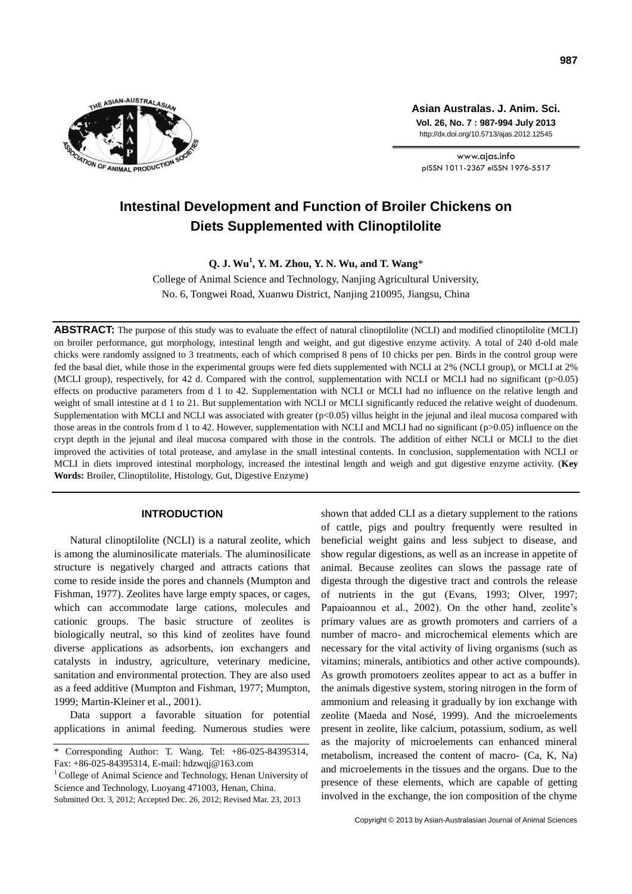

**Asian Australas. J. Anim. Sci. Vol. 26, No. 7 : 987-994 July 2013** http://dx.doi.org/10.5713/ajas.2012.12545

www.ajas.info pISSN 1011-2367 eISSN 1976-5517

# **Intestinal Development and Function of Broiler Chickens on Diets Supplemented with Clinoptilolite**

**Q. J. Wu<sup>1</sup> , Y. M. Zhou, Y. N. Wu, and T. Wang**\*

College of Animal Science and Technology, Nanjing Agricultural University, No. 6, Tongwei Road, Xuanwu District, Nanjing 210095, Jiangsu, China

**ABSTRACT:** The purpose of this study was to evaluate the effect of natural clinoptilolite (NCLI) and modified clinoptilolite (MCLI) on broiler performance, gut morphology, intestinal length and weight, and gut digestive enzyme activity. A total of 240 d-old male chicks were randomly assigned to 3 treatments, each of which comprised 8 pens of 10 chicks per pen. Birds in the control group were fed the basal diet, while those in the experimental groups were fed diets supplemented with NCLI at 2% (NCLI group), or MCLI at 2% (MCLI group), respectively, for 42 d. Compared with the control, supplementation with NCLI or MCLI had no significant (p>0.05) effects on productive parameters from d 1 to 42. Supplementation with NCLI or MCLI had no influence on the relative length and weight of small intestine at d 1 to 21. But supplementation with NCLI or MCLI significantly reduced the relative weight of duodenum. Supplementation with MCLI and NCLI was associated with greater  $(p<0.05)$  villus height in the jejunal and ileal mucosa compared with those areas in the controls from d 1 to 42. However, supplementation with NCLI and MCLI had no significant (p>0.05) influence on the crypt depth in the jejunal and ileal mucosa compared with those in the controls. The addition of either NCLI or MCLI to the diet improved the activities of total protease, and amylase in the small intestinal contents. In conclusion, supplementation with NCLI or MCLI in diets improved intestinal morphology, increased the intestinal length and weigh and gut digestive enzyme activity. (**Key Words:** Broiler, Clinoptilolite, Histology, Gut, Digestive Enzyme)

## **INTRODUCTION**

Natural clinoptilolite (NCLI) is a natural zeolite, which is among the aluminosilicate materials. The aluminosilicate structure is negatively charged and attracts cations that come to reside inside the pores and channels (Mumpton and Fishman, 1977). Zeolites have large empty spaces, or cages, which can accommodate large cations, molecules and cationic groups. The basic structure of zeolites is biologically neutral, so this kind of zeolites have found diverse applications as adsorbents, ion exchangers and catalysts in industry, agriculture, veterinary medicine, sanitation and environmental protection. They are also used as a feed additive (Mumpton and Fishman, 1977; Mumpton, 1999; Martin-Kleiner et al., 2001).

Data support a favorable situation for potential applications in animal feeding. Numerous studies were

 $1$  College of Animal Science and Technology, Henan University of Science and Technology, Luoyang 471003, Henan, China.

Submitted Oct. 3, 2012; Accepted Dec. 26, 2012; Revised Mar. 23, 2013

shown that added CLI as a dietary supplement to the rations of cattle, pigs and poultry frequently were resulted in beneficial weight gains and less subject to disease, and show regular digestions, as well as an increase in appetite of animal. Because zeolites can slows the passage rate of digesta through the digestive tract and controls the release of nutrients in the gut (Evans, 1993; Olver, 1997; Papaioannou et al., 2002). On the other hand, zeolite's primary values are as growth promoters and carriers of a number of macro- and microchemical elements which are necessary for the vital activity of living organisms (such as vitamins; minerals, antibiotics and other active compounds). As growth promotoers zeolites appear to act as a buffer in the animals digestive system, storing nitrogen in the form of ammonium and releasing it gradually by ion exchange with zeolite (Maeda and Nosé, 1999). And the microelements present in zeolite, like calcium, potassium, sodium, as well as the majority of microelements can enhanced mineral metabolism, increased the content of macro- (Ca, K, Na) and microelements in the tissues and the organs. Due to the presence of these elements, which are capable of getting involved in the exchange, the ion composition of the chyme

<sup>\*</sup> Corresponding Author: T. Wang. Tel: +86-025-84395314, Fax: +86-025-84395314, E-mail: hdzwq[j@163.com](mailto:tianwangnjau@163.com)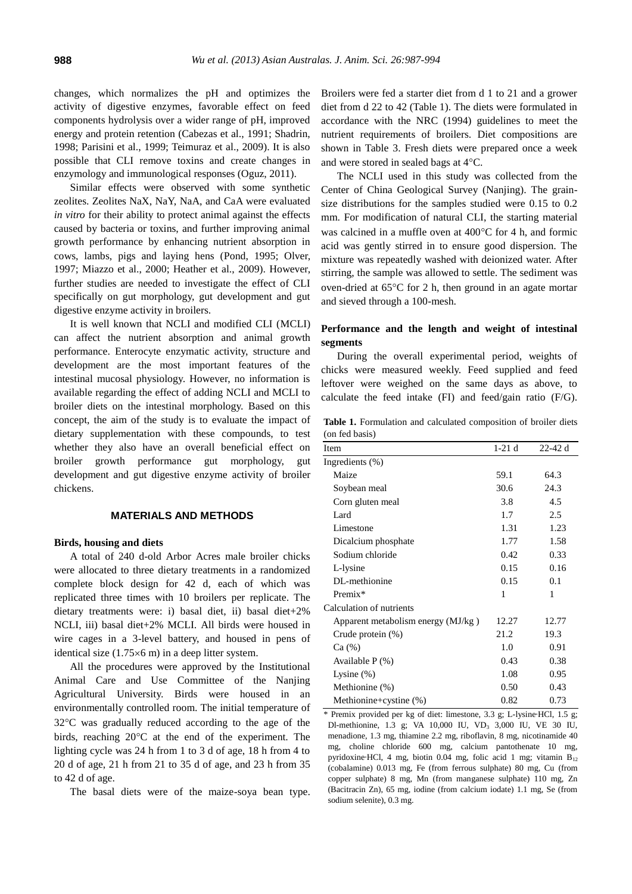changes, which normalizes the pH and optimizes the activity of digestive enzymes, favorable effect on feed components hydrolysis over a wider range of pH, improved energy and protein retention (Cabezas et al., 1991; Shadrin, 1998; Parisini et al., 1999; Teimuraz et al., 2009). It is also possible that CLI remove toxins and create changes in enzymology and immunological responses (Oguz, 2011).

Similar effects were observed with some synthetic zeolites. Zeolites NaX, NaY, NaA, and CaA were evaluated *in vitro* for their ability to protect animal against the effects caused by bacteria or toxins, and further improving animal growth performance by enhancing nutrient absorption in cows, lambs, pigs and laying hens (Pond, 1995; Olver, 1997; Miazzo et al., 2000; Heather et al., 2009). However, further studies are needed to investigate the effect of CLI specifically on gut morphology, gut development and gut digestive enzyme activity in broilers.

It is well known that NCLI and modified CLI (MCLI) can affect the nutrient absorption and animal growth performance. Enterocyte enzymatic activity, structure and development are the most important features of the intestinal mucosal physiology. However, no information is available regarding the effect of adding NCLI and MCLI to broiler diets on the intestinal morphology. Based on this concept, the aim of the study is to evaluate the impact of dietary supplementation with these compounds, to test whether they also have an overall beneficial effect on broiler growth performance gut morphology, gut development and gut digestive enzyme activity of broiler chickens.

## **MATERIALS AND METHODS**

## **Birds, housing and diets**

A total of 240 d-old Arbor Acres male broiler chicks were allocated to three dietary treatments in a randomized complete block design for 42 d, each of which was replicated three times with 10 broilers per replicate. The dietary treatments were: i) basal diet, ii) basal diet+2% NCLI, iii) basal diet+2% MCLI. All birds were housed in wire cages in a 3-level battery, and housed in pens of identical size  $(1.75 \times 6 \text{ m})$  in a deep litter system.

All the procedures were approved by the Institutional Animal Care and Use Committee of the Nanjing Agricultural University. Birds were housed in an environmentally controlled room. The initial temperature of 32C was gradually reduced according to the age of the birds, reaching  $20^{\circ}$ C at the end of the experiment. The lighting cycle was 24 h from 1 to 3 d of age, 18 h from 4 to 20 d of age, 21 h from 21 to 35 d of age, and 23 h from 35 to 42 d of age.

The basal diets were of the maize-soya bean type.

Broilers were fed a starter diet from d 1 to 21 and a grower diet from d 22 to 42 (Table 1). The diets were formulated in accordance with the [NRC \(1994\)](http://ps.fass.org/content/88/5/959.long#ref-23#ref-23) guidelines to meet the nutrient requirements of broilers. Diet compositions are shown in [Table 3.](http://ps.fass.org/content/88/10/2159.long#T1#T1) Fresh diets were prepared once a week and were stored in sealed bags at  $4^{\circ}$ C.

The NCLI used in this study was collected from the Center of China Geological Survey (Nanjing). The grainsize distributions for the samples studied were 0.15 to 0.2 mm. For modification of natural CLI, the starting material was calcined in a muffle oven at  $400^{\circ}$ C for 4 h, and formic acid was gently stirred in to ensure good dispersion. The mixture was repeatedly washed with deionized water. After stirring, the sample was allowed to settle. The sediment was oven-dried at  $65^{\circ}$ C for 2 h, then ground in an agate mortar and sieved through a 100-mesh.

# **Performance and the length and weight of intestinal segments**

During the overall experimental period, weights of chicks were measured weekly. Feed supplied and feed leftover were weighed on the same days as above, to calculate the feed intake (FI) and feed/gain ratio (F/G).

**Table 1.** Formulation and calculated composition of broiler diets (on fed basis)

| Item                               | $1-21d$ | $22-42$ d |
|------------------------------------|---------|-----------|
| Ingredients $(\%)$                 |         |           |
| Maize                              | 59.1    | 64.3      |
| Soybean meal                       | 30.6    | 24.3      |
| Corn gluten meal                   | 3.8     | 4.5       |
| Lard                               | 1.7     | 2.5       |
| Limestone                          | 1.31    | 1.23      |
| Dicalcium phosphate                | 1.77    | 1.58      |
| Sodium chloride                    | 0.42    | 0.33      |
| L-lysine                           | 0.15    | 0.16      |
| DL-methionine                      | 0.15    | 0.1       |
| Premix*                            | 1       | 1         |
| Calculation of nutrients           |         |           |
| Apparent metabolism energy (MJ/kg) | 12.27   | 12.77     |
| Crude protein (%)                  | 21.2    | 19.3      |
| Ca (%)                             | 1.0     | 0.91      |
| Available $P$ $(\%)$               | 0.43    | 0.38      |
| Lysine $(\%)$                      | 1.08    | 0.95      |
| Methionine (%)                     | 0.50    | 0.43      |
| Methionine+cystine (%)             | 0.82    | 0.73      |

\* Premix provided per kg of diet: limestone, 3.3 g; L-lysine·HCl, 1.5 g; Dl-methionine, 1.3 g; VA 10,000 IU, VD<sup>3</sup> 3,000 IU, VE 30 IU, menadione, 1.3 mg, thiamine 2.2 mg, riboflavin, 8 mg, nicotinamide 40 mg, choline chloride 600 mg, calcium pantothenate 10 mg, pyridoxine HCl, 4 mg, biotin 0.04 mg, folic acid 1 mg; vitamin  $B_{12}$ (cobalamine) 0.013 mg, Fe (from ferrous sulphate) 80 mg, Cu (from copper sulphate) 8 mg, Mn (from manganese sulphate) 110 mg, Zn (Bacitracin Zn), 65 mg, iodine (from calcium iodate) 1.1 mg, Se (from sodium selenite), 0.3 mg.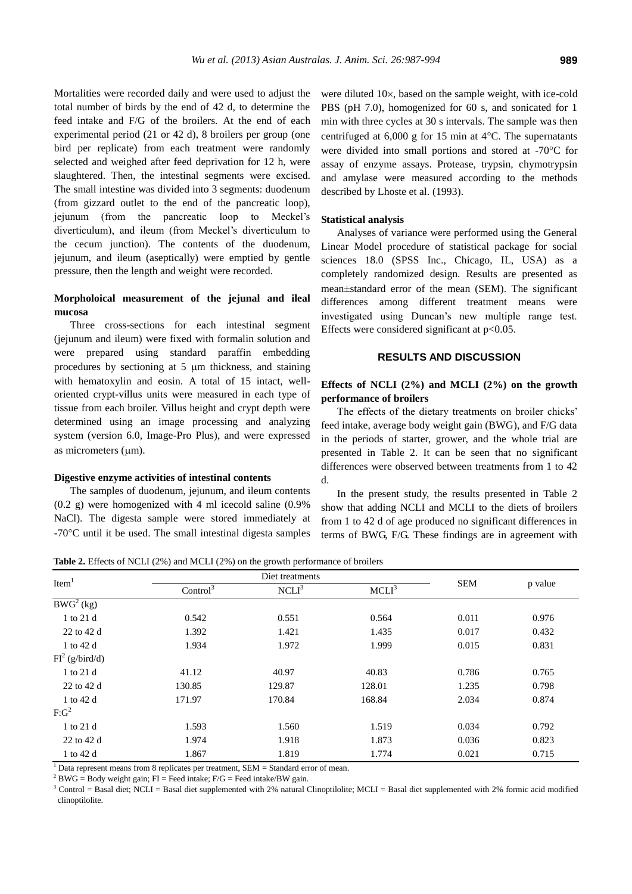Mortalities were recorded daily and were used to adjust the total number of birds by the end of 42 d, to determine the feed intake and F/G of the broilers. At the end of each experimental period (21 or 42 d), 8 broilers per group (one bird per replicate) from each treatment were randomly selected and weighed after feed deprivation for 12 h, were slaughtered. Then, the intestinal segments were excised. The small intestine was divided into 3 segments: duodenum (from gizzard outlet to the end of the pancreatic loop), jejunum (from the pancreatic loop to Meckel's diverticulum), and ileum (from Meckel's diverticulum to the cecum junction). The contents of the duodenum, jejunum, and ileum (aseptically) were emptied by gentle pressure, then the length and weight were recorded.

# **Morpholoical measurement of the jejunal and ileal mucosa**

Three cross-sections for each intestinal segment (jejunum and ileum) were fixed with formalin solution and were prepared using standard paraffin embedding procedures by sectioning at  $5 \mu m$  thickness, and staining with hematoxylin and eosin. A total of 15 intact, welloriented crypt-villus units were measured in each type of tissue from each broiler. Villus height and crypt depth were determined using an image processing and analyzing system (version 6.0, Image-Pro Plus), and were expressed as micrometers  $(\mu m)$ .

#### **Digestive enzyme activities of intestinal contents**

The samples of duodenum, jejunum, and ileum contents (0.2 g) were homogenized with 4 ml icecold saline (0.9% NaCl). The digesta sample were stored immediately at  $-70^{\circ}$ C until it be used. The small intestinal digesta samples

were diluted  $10\times$ , based on the sample weight, with ice-cold PBS (pH 7.0), homogenized for 60 s, and sonicated for 1 min with three cycles at 30 s intervals. The sample was then centrifuged at  $6,000$  g for 15 min at 4 $\degree$ C. The supernatants were divided into small portions and stored at -70°C for assay of enzyme assays. Protease, trypsin, chymotrypsin and amylase were measured according to the methods described by Lhoste et al. (1993).

#### **Statistical analysis**

Analyses of variance were performed using the General Linear Model procedure of statistical package for social sciences 18.0 (SPSS Inc., Chicago, IL, USA) as a completely randomized design. Results are presented as mean $\pm$ standard error of the mean (SEM). The significant differences among different treatment means were investigated using Duncan's new multiple range test. Effects were considered significant at  $p<0.05$ .

## **RESULTS AND DISCUSSION**

# **Effects of NCLI (2%) and MCLI (2%) on the growth performance of broilers**

The effects of the dietary treatments on broiler chicks' feed intake, average body weight gain (BWG), and F/G data in the periods of starter, grower, and the whole trial are presented in Table 2. It can be seen that no significant differences were observed between treatments from 1 to 42 d.

In the present study, the results presented in Table 2 show that adding NCLI and MCLI to the diets of broilers from 1 to 42 d of age produced no significant differences in terms of BWG, F/G. These findings are in agreement with

**Table 2.** Effects of NCLI (2%) and MCLI (2%) on the growth performance of broilers

| Item <sup>1</sup> |                      | Diet treatments   |                   |            |         |
|-------------------|----------------------|-------------------|-------------------|------------|---------|
|                   | Control <sup>3</sup> | NCLI <sup>3</sup> | MCLI <sup>3</sup> | <b>SEM</b> | p value |
| $BWG^{2}(kg)$     |                      |                   |                   |            |         |
| 1 to 21 d         | 0.542                | 0.551             | 0.564             | 0.011      | 0.976   |
| 22 to 42 d        | 1.392                | 1.421             | 1.435             | 0.017      | 0.432   |
| 1 to 42 d         | 1.934                | 1.972             | 1.999             | 0.015      | 0.831   |
| $FI^2$ (g/bird/d) |                      |                   |                   |            |         |
| 1 to 21 d         | 41.12                | 40.97             | 40.83             | 0.786      | 0.765   |
| 22 to 42 d        | 130.85               | 129.87            | 128.01            | 1.235      | 0.798   |
| 1 to 42 d         | 171.97               | 170.84            | 168.84            | 2.034      | 0.874   |
| $F:G^2$           |                      |                   |                   |            |         |
| 1 to 21 d         | 1.593                | 1.560             | 1.519             | 0.034      | 0.792   |
| 22 to 42 d        | 1.974                | 1.918             | 1.873             | 0.036      | 0.823   |
| 1 to 42 d         | 1.867                | 1.819             | 1.774             | 0.021      | 0.715   |

 $\overline{1}$  Data represent means from 8 replicates per treatment, SEM = Standard error of mean.

 $2$  BWG = Body weight gain; FI = Feed intake; F/G = Feed intake/BW gain.

 $3$  Control = Basal diet; NCLI = Basal diet supplemented with 2% natural Clinoptilolite; MCLI = Basal diet supplemented with 2% formic acid modified clinoptilolite.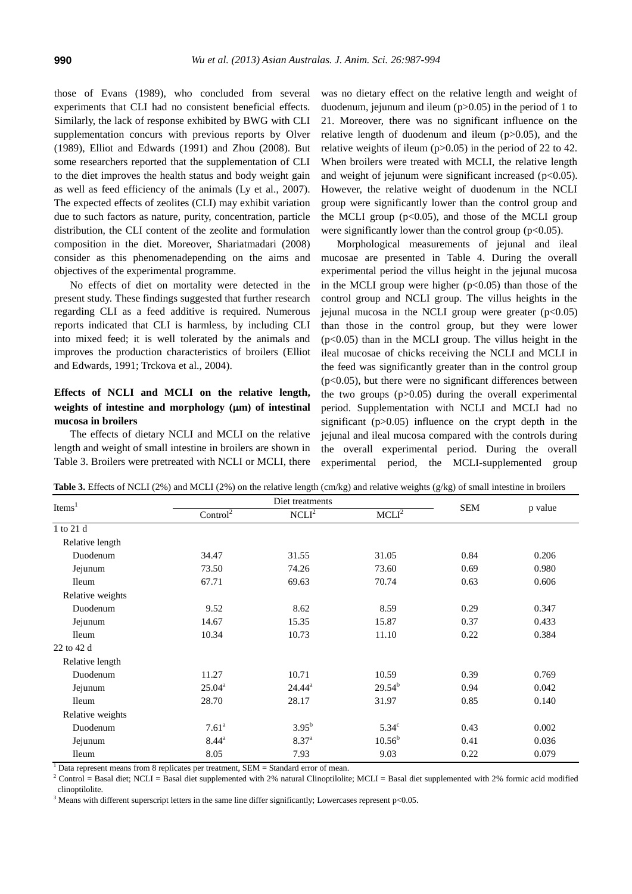those of Evans (1989), who concluded from several experiments that CLI had no consistent beneficial effects. Similarly, the lack of response exhibited by BWG with CLI supplementation concurs with previous reports by Olver (1989), Elliot and Edwards (1991) and Zhou (2008). But some researchers reported that the supplementation of CLI to the diet improves the health status and body weight gain as well as feed efficiency of the animals (Ly et al., 2007). The expected effects of zeolites (CLI) may exhibit variation due to such factors as nature, purity, concentration, particle distribution, the CLI content of the zeolite and formulation composition in the diet. Moreover, Shariatmadari (2008) consider as this phenomenadepending on the aims and objectives of the experimental programme.

No effects of diet on mortality were detected in the present study. These findings suggested that further research regarding CLI as a feed additive is required. Numerous reports indicated that CLI is harmless, by including CLI into mixed feed; it is well tolerated by the animals and improves the production characteristics of broilers (Elliot and Edwards, 1991; Trckova et al., 2004).

# **Effects of NCLI and MCLI on the relative length,**  weights of intestine and morphology ( $\mu$ m) of intestinal **mucosa in broilers**

The effects of dietary NCLI and MCLI on the relative length and weight of small intestine in broilers are shown in Table 3. Broilers were pretreated with NCLI or MCLI, there was no dietary effect on the relative length and weight of duodenum, jejunum and ileum  $(p>0.05)$  in the period of 1 to 21. Moreover, there was no significant influence on the relative length of duodenum and ileum (p>0.05), and the relative weights of ileum (p>0.05) in the period of 22 to 42. When broilers were treated with MCLI, the relative length and weight of jejunum were significant increased  $(p<0.05)$ . However, the relative weight of duodenum in the NCLI group were significantly lower than the control group and the MCLI group  $(p<0.05)$ , and those of the MCLI group were significantly lower than the control group ( $p<0.05$ ).

Morphological measurements of jejunal and ileal mucosae are presented in Table 4. During the overall experimental period the villus height in the jejunal mucosa in the MCLI group were higher  $(p<0.05)$  than those of the control group and NCLI group. The villus heights in the jejunal mucosa in the NCLI group were greater  $(p<0.05)$ than those in the control group, but they were lower  $(p<0.05)$  than in the MCLI group. The villus height in the ileal mucosae of chicks receiving the NCLI and MCLI in the feed was significantly greater than in the control group  $(p<0.05)$ , but there were no significant differences between the two groups (p>0.05) during the overall experimental period. Supplementation with NCLI and MCLI had no significant  $(p>0.05)$  influence on the crypt depth in the jejunal and ileal mucosa compared with the controls during the overall experimental period. During the overall experimental period, the MCLI-supplemented group

**Table 3.** Effects of NCLI (2%) and MCLI (2%) on the relative length (cm/kg) and relative weights (g/kg) of small intestine in broilers

| Items $1$        | Diet treatments      |                   |                   |            |         |
|------------------|----------------------|-------------------|-------------------|------------|---------|
|                  | Control <sup>2</sup> | NCLI <sup>2</sup> | MCLI <sup>2</sup> | <b>SEM</b> | p value |
| 1 to 21 d        |                      |                   |                   |            |         |
| Relative length  |                      |                   |                   |            |         |
| Duodenum         | 34.47                | 31.55             | 31.05             | 0.84       | 0.206   |
| Jejunum          | 73.50                | 74.26             | 73.60             | 0.69       | 0.980   |
| <b>Ileum</b>     | 67.71                | 69.63             | 70.74             | 0.63       | 0.606   |
| Relative weights |                      |                   |                   |            |         |
| Duodenum         | 9.52                 | 8.62              | 8.59              | 0.29       | 0.347   |
| Jejunum          | 14.67                | 15.35             | 15.87             | 0.37       | 0.433   |
| <b>Ileum</b>     | 10.34                | 10.73             | 11.10             | 0.22       | 0.384   |
| 22 to 42 d       |                      |                   |                   |            |         |
| Relative length  |                      |                   |                   |            |         |
| Duodenum         | 11.27                | 10.71             | 10.59             | 0.39       | 0.769   |
| Jejunum          | $25.04^{\rm a}$      | $24.44^a$         | $29.54^{b}$       | 0.94       | 0.042   |
| <b>Ileum</b>     | 28.70                | 28.17             | 31.97             | 0.85       | 0.140   |
| Relative weights |                      |                   |                   |            |         |
| Duodenum         | $7.61^{\rm a}$       | $3.95^{b}$        | 5.34 <sup>c</sup> | 0.43       | 0.002   |
| Jejunum          | $8.44^{\rm a}$       | 8.37 <sup>a</sup> | $10.56^{\rm b}$   | 0.41       | 0.036   |
| Ileum            | 8.05                 | 7.93              | 9.03              | 0.22       | 0.079   |

 $1$  Data represent means from 8 replicates per treatment, SEM = Standard error of mean.

<sup>2</sup> Control = Basal diet; NCLI = Basal diet supplemented with 2% natural Clinoptilolite; MCLI = Basal diet supplemented with 2% formic acid modified clinoptilolite.

<sup>3</sup> Means with different superscript letters in the same line differ significantly; Lowercases represent  $p<0.05$ .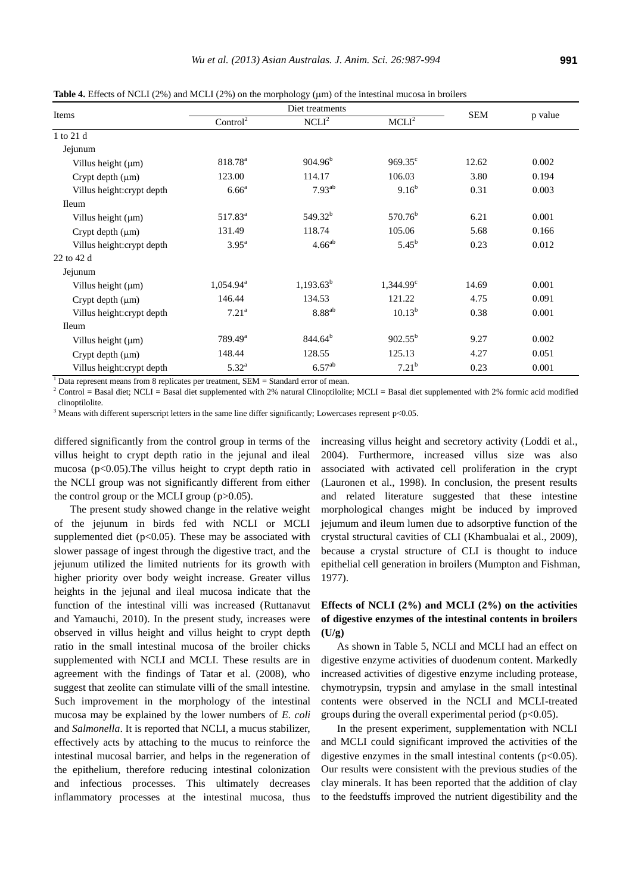**Table 4.** Effects of NCLI (2%) and MCLI (2%) on the morphology ( $\mu$ m) of the intestinal mucosa in broilers

| Items                      | Diet treatments       |                    |                    |            |         |
|----------------------------|-----------------------|--------------------|--------------------|------------|---------|
|                            | Control <sup>2</sup>  | $NCLI^2$           | MCLI <sup>2</sup>  | <b>SEM</b> | p value |
| 1 to 21 d                  |                       |                    |                    |            |         |
| Jejunum                    |                       |                    |                    |            |         |
| Villus height $(\mu m)$    | 818.78 <sup>a</sup>   | $904.96^{\rm b}$   | $969.35^{\circ}$   | 12.62      | 0.002   |
| Crypt depth $(\mu m)$      | 123.00                | 114.17             | 106.03             | 3.80       | 0.194   |
| Villus height: crypt depth | $6.66^{\circ}$        | $7.93^{ab}$        | $9.16^{b}$         | 0.31       | 0.003   |
| <b>Ileum</b>               |                       |                    |                    |            |         |
| Villus height $(\mu m)$    | $517.83^{\rm a}$      | $549.32^{b}$       | $570.76^b$         | 6.21       | 0.001   |
| Crypt depth $(\mu m)$      | 131.49                | 118.74             | 105.06             | 5.68       | 0.166   |
| Villus height: crypt depth | $3.95^{\rm a}$        | $4.66^{ab}$        | $5.45^{b}$         | 0.23       | 0.012   |
| 22 to 42 d                 |                       |                    |                    |            |         |
| Jejunum                    |                       |                    |                    |            |         |
| Villus height (µm)         | $1,054.94^{\text{a}}$ | $1,193.63^b$       | $1,344.99^{\circ}$ | 14.69      | 0.001   |
| Crypt depth (µm)           | 146.44                | 134.53             | 121.22             | 4.75       | 0.091   |
| Villus height: crypt depth | 7.21 <sup>a</sup>     | $8.88^{ab}$        | $10.13^{b}$        | 0.38       | 0.001   |
| <b>Ileum</b>               |                       |                    |                    |            |         |
| Villus height $(\mu m)$    | $789.49^{\rm a}$      | $844.64^{b}$       | $902.55^{b}$       | 9.27       | 0.002   |
| Crypt depth $(\mu m)$      | 148.44                | 128.55             | 125.13             | 4.27       | 0.051   |
| Villus height: crypt depth | $5.32^{a}$            | 6.57 <sup>ab</sup> | 7.21 <sup>b</sup>  | 0.23       | 0.001   |

 $<sup>1</sup>$  Data represent means from 8 replicates per treatment, SEM = Standard error of mean.</sup>

 $2$  Control = Basal diet; NCLI = Basal diet supplemented with 2% natural Clinoptilolite; MCLI = Basal diet supplemented with 2% formic acid modified clinoptilolite.

<sup>3</sup> Means with different superscript letters in the same line differ significantly; Lowercases represent  $p<0.05$ .

differed significantly from the control group in terms of the villus height to crypt depth ratio in the jejunal and ileal mucosa (p<0.05).The villus height to crypt depth ratio in the NCLI group was not significantly different from either the control group or the MCLI group  $(p>0.05)$ .

The present study showed change in the relative weight of the jejunum in birds fed with NCLI or MCLI supplemented diet ( $p<0.05$ ). These may be associated with slower passage of ingest through the digestive tract, and the jejunum utilized the limited nutrients for its growth with higher priority over body weight increase. Greater villus heights in the jejunal and ileal mucosa indicate that the function of the intestinal villi was increased [\(Ruttanavut](http://scialert.net/asci/author.php?author=J.&last=Ruttanavut) and [Yamauchi,](http://scialert.net/asci/author.php?author=K.&last=Yamauchi) 2010). In the present study, increases were observed in villus height and villus height to crypt depth ratio in the small intestinal mucosa of the broiler chicks supplemented with NCLI and MCLI. These results are in agreement with the findings of Tatar et al. (2008), who suggest that zeolite can stimulate villi of the small intestine. Such improvement in the morphology of the intestinal mucosa may be explained by the lower numbers of *E. coli* and *Salmonella*. It is reported that NCLI, a mucus stabilizer, effectively acts by attaching to the mucus to reinforce the intestinal mucosal barrier, and helps in the regeneration of the epithelium, therefore reducing intestinal colonization and infectious processes. This ultimately decreases inflammatory processes at the intestinal mucosa, thus

increasing villus height and secretory activity (Loddi et al., 2004). Furthermore, increased villus size was also associated with activated cell proliferation in the crypt (Lauronen et al., 1998). In conclusion, the present results and related literature suggested that these intestine morphological changes might be induced by improved jejumum and ileum lumen due to adsorptive function of the crystal structural cavities of CLI (Khambualai et al., 2009), because a crystal structure of CLI is thought to induce epithelial cell generation in broilers (Mumpton and Fishman, 1977).

# **Effects of NCLI (2%) and MCLI (2%) on the activities of digestive enzymes of the intestinal contents in broilers**   $(I|/\sigma)$

As shown in Table 5, NCLI and MCLI had an effect on digestive enzyme activities of duodenum content. Markedly increased activities of digestive enzyme including protease, chymotrypsin, trypsin and amylase in the small intestinal contents were observed in the NCLI and MCLI-treated groups during the overall experimental period ( $p<0.05$ ).

In the present experiment, supplementation with NCLI and MCLI could significant improved the activities of the digestive enzymes in the small intestinal contents  $(p<0.05)$ . Our results were consistent with the previous studies of the clay minerals. It has been reported that the addition of clay to the feedstuffs improved the nutrient digestibility and the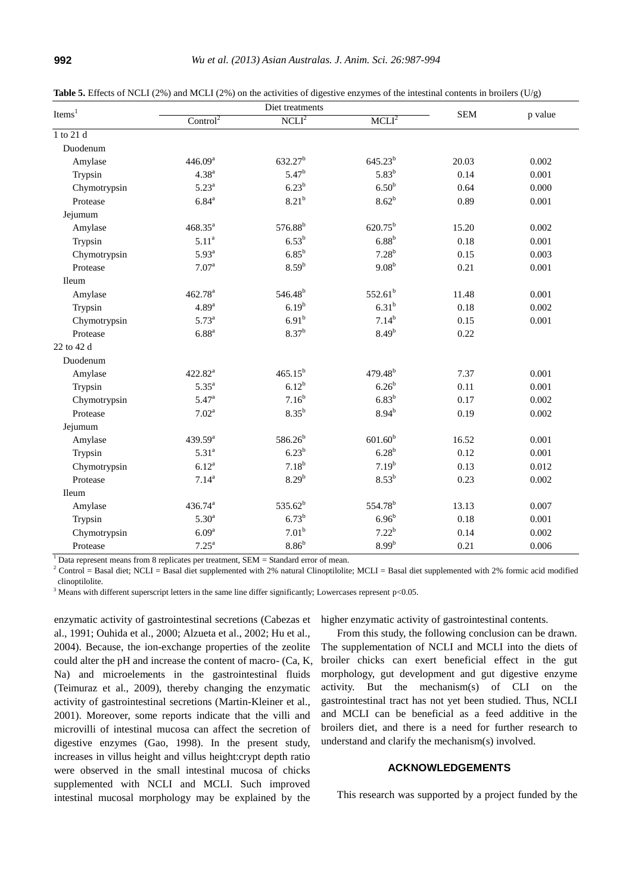| Items <sup>1</sup> | Diet treatments      |                     |                     | <b>SEM</b> |         |
|--------------------|----------------------|---------------------|---------------------|------------|---------|
|                    | Control <sup>2</sup> | NCLI <sup>2</sup>   | MCLI <sup>2</sup>   |            | p value |
| 1 to 21 d          |                      |                     |                     |            |         |
| Duodenum           |                      |                     |                     |            |         |
| Amylase            | 446.09 <sup>a</sup>  | $632.27^b$          | $645.23^{b}$        | 20.03      | 0.002   |
| Trypsin            | $4.38^{a}$           | 5.47 <sup>b</sup>   | $5.83^{b}$          | 0.14       | 0.001   |
| Chymotrypsin       | $5.23^{a}$           | $6.23^{b}$          | 6.50 <sup>b</sup>   | 0.64       | 0.000   |
| Protease           | $6.84^{a}$           | $8.21^{b}$          | 8.62 <sup>b</sup>   | 0.89       | 0.001   |
| Jejumum            |                      |                     |                     |            |         |
| Amylase            | $468.35^a$           | 576.88 <sup>b</sup> | $620.75^{b}$        | 15.20      | 0.002   |
| Trypsin            | 5.11 <sup>a</sup>    | $6.53^{b}$          | 6.88 <sup>b</sup>   | 0.18       | 0.001   |
| Chymotrypsin       | 5.93 <sup>a</sup>    | $6.85^b$            | $7.28^{b}$          | 0.15       | 0.003   |
| Protease           | $7.07^{\text{a}}$    | 8.59 <sup>b</sup>   | $9.08^{b}$          | 0.21       | 0.001   |
| Ileum              |                      |                     |                     |            |         |
| Amylase            | 462.78 <sup>a</sup>  | 546.48 <sup>b</sup> | $552.61^{b}$        | 11.48      | 0.001   |
| Trypsin            | 4.89 <sup>a</sup>    | $6.19^{b}$          | $6.31^{b}$          | 0.18       | 0.002   |
| Chymotrypsin       | $5.73^{\rm a}$       | 6.91 <sup>b</sup>   | $7.14^{b}$          | 0.15       | 0.001   |
| Protease           | $6.88^{\rm a}$       | $8.37^{b}$          | 8.49 <sup>b</sup>   | 0.22       |         |
| 22 to 42 d         |                      |                     |                     |            |         |
| Duodenum           |                      |                     |                     |            |         |
| Amylase            | $422.82^a$           | $465.15^{b}$        | $479.48^{b}$        | 7.37       | 0.001   |
| Trypsin            | $5.35^{a}$           | $6.12^{b}$          | 6.26 <sup>b</sup>   | 0.11       | 0.001   |
| Chymotrypsin       | $5.47^{\rm a}$       | $7.16^{b}$          | $6.83^b$            | 0.17       | 0.002   |
| Protease           | $7.02^a$             | $8.35^b$            | $8.94^{b}$          | 0.19       | 0.002   |
| Jejumum            |                      |                     |                     |            |         |
| Amylase            | 439.59 <sup>a</sup>  | $586.26^{b}$        | 601.60 <sup>b</sup> | 16.52      | 0.001   |
| Trypsin            | $5.31^{a}$           | 6.23 <sup>b</sup>   | 6.28 <sup>b</sup>   | 0.12       | 0.001   |
| Chymotrypsin       | $6.12^{a}$           | $7.18^{b}$          | $7.19^{b}$          | 0.13       | 0.012   |
| Protease           | $7.14^{a}$           | $8.29^{b}$          | $8.53^{b}$          | 0.23       | 0.002   |
| Ileum              |                      |                     |                     |            |         |
| Amylase            | $436.74^a$           | $535.62^{b}$        | 554.78 <sup>b</sup> | 13.13      | 0.007   |
| Trypsin            | 5.30 <sup>a</sup>    | $6.73^{b}$          | 6.96 <sup>b</sup>   | 0.18       | 0.001   |
| Chymotrypsin       | 6.09 <sup>a</sup>    | 7.01 <sup>b</sup>   | $7.22^{b}$          | 0.14       | 0.002   |
| Protease           | $7.25^a$             | 8.86 <sup>b</sup>   | 8.99 <sup>b</sup>   | 0.21       | 0.006   |

**Table 5.** Effects of NCLI (2%) and MCLI (2%) on the activities of digestive enzymes of the intestinal contents in broilers (U/g)

 $1$  Data represent means from 8 replicates per treatment, SEM = Standard error of mean.

 $2$  Control = Basal diet; NCLI = Basal diet supplemented with 2% natural Clinoptilolite; MCLI = Basal diet supplemented with 2% formic acid modified clinoptilolite.

<sup>3</sup> Means with different superscript letters in the same line differ significantly; Lowercases represent  $p<0.05$ .

enzymatic activity of gastrointestinal secretions (Cabezas et al., 1991; Ouhida et al., 2000; Alzueta et al., 2002; Hu et al., 2004). Because, the ion-exchange properties of the zeolite could alter the pH and increase the content of macro- (Ca, K, Na) and microelements in the gastrointestinal fluids (Teimuraz et al., 2009), thereby changing the enzymatic activity of gastrointestinal secretions (Martin-Kleiner et al., 2001). Moreover, some reports indicate that the villi and microvilli of intestinal mucosa can affect the secretion of digestive enzymes (Gao, 1998). In the present study, increases in villus height and villus height:crypt depth ratio were observed in the small intestinal mucosa of chicks supplemented with NCLI and MCLI. Such improved intestinal mucosal morphology may be explained by the

higher enzymatic activity of gastrointestinal contents.

From this study, the following conclusion can be drawn. The supplementation of NCLI and MCLI into the diets of broiler chicks can exert beneficial effect in the gut morphology, gut development and gut digestive enzyme activity. But the mechanism(s) of CLI on the gastrointestinal tract has not yet been studied. Thus, NCLI and MCLI can be beneficial as a feed additive in the broilers diet, and there is a need for further research to understand and clarify the mechanism(s) involved.

## **ACKNOWLEDGEMENTS**

This research was supported by a project funded by the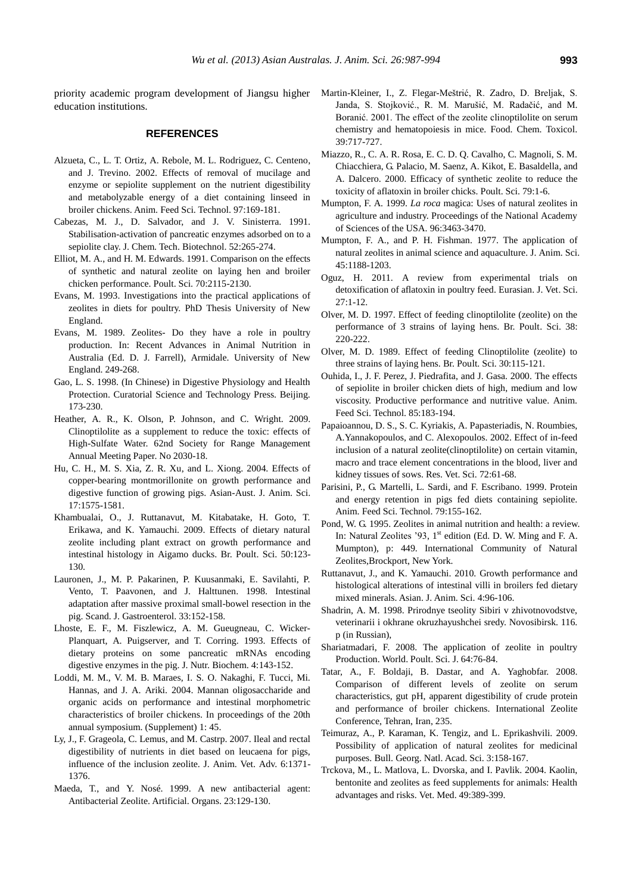priority academic program development of Jiangsu higher education institutions.

### **REFERENCES**

- Alzueta, C., L. T. Ortiz, A. Rebole, M. L. Rodriguez, C. Centeno, and J. Trevino. 2002. Effects of removal of mucilage and enzyme or sepiolite supplement on the nutrient digestibility and metabolyzable energy of a diet containing linseed in broiler chickens. Anim. Feed Sci. Technol. 97:169-181.
- Cabezas, M. J., D. Salvador, and J. V. Sinisterra. 1991. Stabilisation-activation of pancreatic enzymes adsorbed on to a sepiolite clay. J. Chem. Tech. Biotechnol. 52:265-274.
- Elliot, M. A., and H. M. Edwards. 1991. Comparison on the effects of synthetic and natural zeolite on laying hen and broiler chicken performance. Poult. Sci. 70:2115-2130.
- Evans, M. 1993. Investigations into the practical applications of zeolites in diets for poultry. PhD Thesis University of New England.
- Evans, M. 1989. Zeolites- Do they have a role in poultry production. In: Recent Advances in Animal Nutrition in Australia (Ed. D. J. Farrell), Armidale. University of New England. 249-268.
- Gao, L. S. 1998. (In Chinese) in Digestive Physiology and Health Protection. Curatorial Science and Technology Press. Beijing. 173-230.
- Heather, A. R., K. Olson, P. Johnson, and C. Wright. 2009. Clinoptilolite as a supplement to reduce the toxic: effects of High-Sulfate Water. 62nd Society for Range Management Annual Meeting Paper. No 2030-18.
- Hu, C. H., M. S. Xia, Z. R. Xu, and L. Xiong. 2004. Effects of copper-bearing montmorillonite on growth performance and digestive function of growing pigs. Asian-Aust. J. Anim. Sci. 17:1575-1581.
- Khambualai, O., J. Ruttanavut, M. Kitabatake, H. Goto, T. Erikawa, and K. Yamauchi. 2009. Effects of dietary natural zeolite including plant extract on growth performance and intestinal histology in Aigamo ducks. Br. Poult. Sci. 50:123- 130.
- Lauronen, J., M. P. Pakarinen, P. Kuusanmaki, E. Savilahti, P. Vento, T. Paavonen, and J. Halttunen. 1998. Intestinal adaptation after massive proximal small-bowel resection in the pig. Scand. J. Gastroenterol. 33:152-158.
- Lhoste, E. F., M. Fiszlewicz, A. M. Gueugneau, C. Wicker-Planquart, A. Puigserver, and T. Corring. 1993. Effects of dietary proteins on some pancreatic mRNAs encoding digestive enzymes in the pig. J. Nutr. Biochem. 4:143-152.
- Loddi, M. M., V. M. B. Maraes, I. S. O. Nakaghi, F. Tucci, Mi. Hannas, and J. A. Ariki. 2004. Mannan oligosaccharide and organic acids on performance and intestinal morphometric characteristics of broiler chickens. In proceedings of the 20th annual symposium. (Supplement) 1: 45.
- Ly, J., F. Grageola, C. Lemus, and M. Castrp. 2007. Ileal and rectal digestibility of nutrients in diet based on leucaena for pigs, influence of the inclusion zeolite. J. Anim. Vet. Adv. 6:1371- 1376.
- Maeda, T., and Y. Nosé. 1999. A new antibacterial agent: Antibacterial Zeolite. Artificial. Organs. 23:129-130.
- Martin-Kleiner, I., Z. Flegar-Meštrić, R. Zadro, D. Breljak, S. Janda, S. Stojković., R. M. Marušić, M. Radačić, and M. Boranić. 2001. The effect of the zeolite clinoptilolite on serum chemistry and hematopoiesis in mice. Food. Chem. Toxicol. 39:717-727.
- Miazzo, R., C. A. R. Rosa, E. C. D. Q. Cavalho, C. Magnoli, S. M. Chiacchiera, G. Palacio, M. Saenz, A. Kikot, E. Basaldella, and A. Dalcero. 2000. Efficacy of synthetic zeolite to reduce the toxicity of aflatoxin in broiler chicks. Poult. Sci. 79:1-6.
- Mumpton, F. A. 1999. *La roca* magica: Uses of natural zeolites in agriculture and industry. Proceedings of the National Academy of Sciences of the USA. 96:3463-3470.
- Mumpton, F. A., and P. H. Fishman. 1977. The application of natural zeolites in animal science and aquaculture. J. Anim. Sci. 45:1188-1203.
- Oguz, H. 2011. A review from experimental trials on detoxification of aflatoxin in poultry feed. Eurasian. J. Vet. Sci. 27:1-12.
- Olver, M. D. 1997. Effect of feeding clinoptilolite (zeolite) on the performance of 3 strains of laying hens. Br. Poult. Sci. 38: 220-222.
- Olver, M. D. 1989. Effect of feeding Clinoptilolite (zeolite) to three strains of laying hens. Br. Poult. Sci. 30:115-121.
- Ouhida, I., J. F. Perez, J. Piedrafita, and J. Gasa. 2000. The effects of sepiolite in broiler chicken diets of high, medium and low viscosity. Productive performance and nutritive value. Anim. Feed Sci. Technol. 85:183-194.
- Papaioannou, D. S., S. C. Kyriakis, A. Papasteriadis, N. Roumbies, A.Yannakopoulos, and C. Alexopoulos. 2002. Effect of in-feed inclusion of a natural zeolite(clinoptilolite) on certain vitamin, macro and trace element concentrations in the blood, liver and kidney tissues of sows. Res. Vet. Sci. 72:61-68.
- Parisini, P., G. Martelli, L. Sardi, and F. Escribano. 1999. Protein and energy retention in pigs fed diets containing sepiolite. Anim. Feed Sci. Technol. 79:155-162.
- Pond, W. G. 1995. Zeolites in animal nutrition and health: a review. In: Natural Zeolites '93, 1<sup>st</sup> edition (Ed. D. W. Ming and F. A. Mumpton), p: 449. International Community of Natural Zeolites,Brockport, New York.
- [Ruttanavut,](http://scialert.net/asci/author.php?author=J.&last=Ruttanavut) J., and K. [Yamauchi.](http://scialert.net/asci/author.php?author=K.&last=Yamauchi) 2010. Growth performance and histological alterations of intestinal villi in broilers fed dietary mixed minerals[. Asian. J. Anim. Sci.](http://scialert.net/jindex.php?issn=1683-9919) 4:96-106.
- Shadrin, A. M. 1998. Prirodnye tseolity Sibiri v zhivotnovodstve, veterinarii i okhrane okruzhayushchei sredy. Novosibirsk. 116. p (in Russian),
- Shariatmadari, F. 2008. The application of zeolite in poultry Production. World. Poult. Sci. J. 64:76-84.
- Tatar, A., F. Boldaji, B. Dastar, and A. Yaghobfar. 2008. Comparison of different levels of zeolite on serum characteristics, gut pH, apparent digestibility of crude protein and performance of broiler chickens. International Zeolite Conference, Tehran, Iran, 235.
- Teimuraz, A., P. Karaman, K. Tengiz, and L. Eprikashvili. 2009. Possibility of application of natural zeolites for medicinal purposes. Bull. Georg. Natl. Acad. Sci. 3:158-167.
- Trckova, M., L. Matlova, L. Dvorska, and I. Pavlik. 2004. Kaolin, bentonite and zeolites as feed supplements for animals: Health advantages and risks. Vet. Med. 49:389-399.